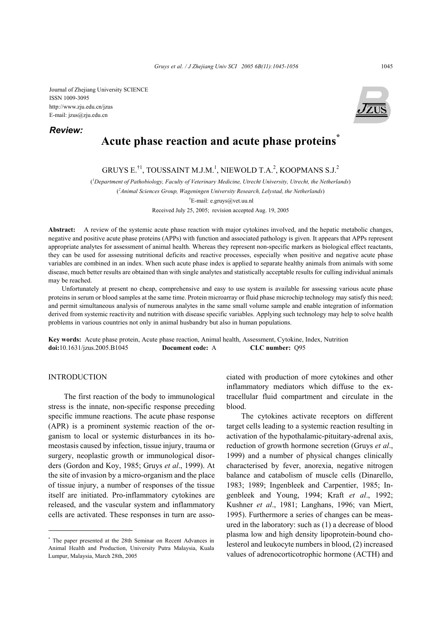Journal of Zhejiang University SCIENCE ISSN 1009-3095 http://www.zju.edu.cn/jzus E-mail: jzus@zju.edu.cn

*Review:*



# **Acute phase reaction and acute phase proteins\***

# GRUYS  $E^{11}$ , TOUSSAINT M.J.M.<sup>1</sup>, NIEWOLD T.A.<sup>2</sup>, KOOPMANS S.J.<sup>2</sup>

( *1 Department of Pathobiology, Faculty of Veterinary Medicine, Utrecht University, Utrecht, the Netherlands*) ( *2 Animal Sciences Group, Wageningen University Research, Lelystad, the Netherlands*) † E-mail: e.gruys@vet.uu.nl

Received July 25, 2005; revision accepted Aug. 19, 2005

**Abstract:** A review of the systemic acute phase reaction with major cytokines involved, and the hepatic metabolic changes, negative and positive acute phase proteins (APPs) with function and associated pathology is given. It appears that APPs represent appropriate analytes for assessment of animal health. Whereas they represent non-specific markers as biological effect reactants, they can be used for assessing nutritional deficits and reactive processes, especially when positive and negative acute phase variables are combined in an index. When such acute phase index is applied to separate healthy animals from animals with some disease, much better results are obtained than with single analytes and statistically acceptable results for culling individual animals may be reached.

Unfortunately at present no cheap, comprehensive and easy to use system is available for assessing various acute phase proteins in serum or blood samples at the same time. Protein microarray or fluid phase microchip technology may satisfy this need; and permit simultaneous analysis of numerous analytes in the same small volume sample and enable integration of information derived from systemic reactivity and nutrition with disease specific variables. Applying such technology may help to solve health problems in various countries not only in animal husbandry but also in human populations.

**Key words:** Acute phase protein, Acute phase reaction, Animal health, Assessment, Cytokine, Index, Nutrition **doi:**10.1631/jzus.2005.B1045 **Document code:** A **CLC number:** Q95

# INTRODUCTION

The first reaction of the body to immunological stress is the innate, non-specific response preceding specific immune reactions. The acute phase response (APR) is a prominent systemic reaction of the organism to local or systemic disturbances in its homeostasis caused by infection, tissue injury, trauma or surgery, neoplastic growth or immunological disorders (Gordon and Koy, 1985; Gruys *et al*., 1999). At the site of invasion by a micro-organism and the place of tissue injury, a number of responses of the tissue itself are initiated. Pro-inflammatory cytokines are released, and the vascular system and inflammatory cells are activated. These responses in turn are asso-

\* The paper presented at the 28th Seminar on Recent Advances in Animal Health and Production, University Putra Malaysia, Kuala Lumpur, Malaysia, March 28th, 2005

ciated with production of more cytokines and other inflammatory mediators which diffuse to the extracellular fluid compartment and circulate in the blood.

The cytokines activate receptors on different target cells leading to a systemic reaction resulting in activation of the hypothalamic-pituitary-adrenal axis, reduction of growth hormone secretion (Gruys *et al*., 1999) and a number of physical changes clinically characterised by fever, anorexia, negative nitrogen balance and catabolism of muscle cells (Dinarello, 1983; 1989; Ingenbleek and Carpentier, 1985; Ingenbleek and Young, 1994; Kraft *et al*., 1992; Kushner *et al*., 1981; Langhans, 1996; van Miert, 1995). Furthermore a series of changes can be measured in the laboratory: such as (1) a decrease of blood plasma low and high density lipoprotein-bound cholesterol and leukocyte numbers in blood, (2) increased values of adrenocorticotrophic hormone (ACTH) and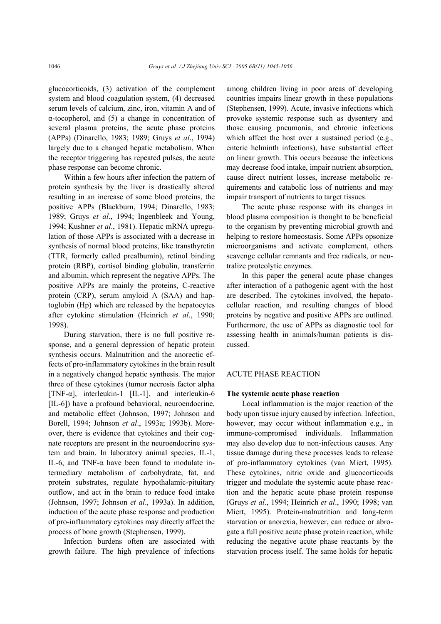glucocorticoids, (3) activation of the complement system and blood coagulation system, (4) decreased serum levels of calcium, zinc, iron, vitamin A and of  $\alpha$ -tocopherol, and (5) a change in concentration of several plasma proteins, the acute phase proteins (APPs) (Dinarello, 1983; 1989; Gruys *et al*., 1994) largely due to a changed hepatic metabolism. When the receptor triggering has repeated pulses, the acute phase response can become chronic.

Within a few hours after infection the pattern of protein synthesis by the liver is drastically altered resulting in an increase of some blood proteins, the positive APPs (Blackburn, 1994; Dinarello, 1983; 1989; Gruys *et al*., 1994; Ingenbleek and Young, 1994; Kushner *et al*., 1981). Hepatic mRNA upregulation of those APPs is associated with a decrease in synthesis of normal blood proteins, like transthyretin (TTR, formerly called prealbumin), retinol binding protein (RBP), cortisol binding globulin, transferrin and albumin, which represent the negative APPs. The positive APPs are mainly the proteins, C-reactive protein (CRP), serum amyloid A (SAA) and haptoglobin (Hp) which are released by the hepatocytes after cytokine stimulation (Heinrich *et al*., 1990; 1998).

During starvation, there is no full positive response, and a general depression of hepatic protein synthesis occurs. Malnutrition and the anorectic effects of pro-inflammatory cytokines in the brain result in a negatively changed hepatic synthesis. The major three of these cytokines (tumor necrosis factor alpha [TNF- $\alpha$ ], interleukin-1 [IL-1], and interleukin-6 [IL-6]) have a profound behavioral, neuroendocrine, and metabolic effect (Johnson, 1997; Johnson and Borell, 1994; Johnson *et al*., 1993a; 1993b). Moreover, there is evidence that cytokines and their cognate receptors are present in the neuroendocrine system and brain. In laboratory animal species, IL-1, IL-6, and TNF- $\alpha$  have been found to modulate intermediary metabolism of carbohydrate, fat, and protein substrates, regulate hypothalamic-pituitary outflow, and act in the brain to reduce food intake (Johnson, 1997; Johnson *et al*., 1993a). In addition, induction of the acute phase response and production of pro-inflammatory cytokines may directly affect the process of bone growth (Stephensen, 1999).

Infection burdens often are associated with growth failure. The high prevalence of infections among children living in poor areas of developing countries impairs linear growth in these populations (Stephensen, 1999). Acute, invasive infections which provoke systemic response such as dysentery and those causing pneumonia, and chronic infections which affect the host over a sustained period (e.g., enteric helminth infections), have substantial effect on linear growth. This occurs because the infections may decrease food intake, impair nutrient absorption, cause direct nutrient losses, increase metabolic requirements and catabolic loss of nutrients and may impair transport of nutrients to target tissues.

The acute phase response with its changes in blood plasma composition is thought to be beneficial to the organism by preventing microbial growth and helping to restore homeostasis. Some APPs opsonize microorganisms and activate complement, others scavenge cellular remnants and free radicals, or neutralize proteolytic enzymes.

In this paper the general acute phase changes after interaction of a pathogenic agent with the host are described. The cytokines involved, the hepatocellular reaction, and resulting changes of blood proteins by negative and positive APPs are outlined. Furthermore, the use of APPs as diagnostic tool for assessing health in animals/human patients is discussed.

# ACUTE PHASE REACTION

# **The systemic acute phase reaction**

Local inflammation is the major reaction of the body upon tissue injury caused by infection. Infection, however, may occur without inflammation e.g., in immune-compromised individuals. Inflammation may also develop due to non-infectious causes. Any tissue damage during these processes leads to release of pro-inflammatory cytokines (van Miert, 1995). These cytokines, nitric oxide and glucocorticoids trigger and modulate the systemic acute phase reaction and the hepatic acute phase protein response (Gruys *et al*., 1994; Heinrich *et al*., 1990; 1998; van Miert, 1995). Protein-malnutrition and long-term starvation or anorexia, however, can reduce or abrogate a full positive acute phase protein reaction, while reducing the negative acute phase reactants by the starvation process itself. The same holds for hepatic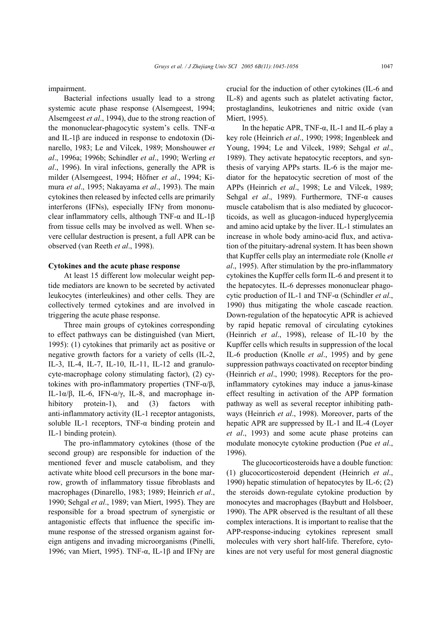impairment.

Bacterial infections usually lead to a strong systemic acute phase response (Alsemgeest, 1994; Alsemgeest *et al*., 1994), due to the strong reaction of the mononuclear-phagocytic system's cells. TNF-α and IL-1β are induced in response to endotoxin (Dinarello, 1983; Le and Vilcek, 1989; Monshouwer *et al*., 1996a; 1996b; Schindler *et al*., 1990; Werling *et al*., 1996). In viral infections, generally the APR is milder (Alsemgeest, 1994; Höfner *et al*., 1994; Kimura *et al*., 1995; Nakayama *et al*., 1993). The main cytokines then released by infected cells are primarily interferons (IFNs), especially IFNγ from mononuclear inflammatory cells, although TNF-α and IL-1β from tissue cells may be involved as well. When severe cellular destruction is present, a full APR can be observed (van Reeth *et al*., 1998).

### **Cytokines and the acute phase response**

At least 15 different low molecular weight peptide mediators are known to be secreted by activated leukocytes (interleukines) and other cells. They are collectively termed cytokines and are involved in triggering the acute phase response.

Three main groups of cytokines corresponding to effect pathways can be distinguished (van Miert, 1995): (1) cytokines that primarily act as positive or negative growth factors for a variety of cells (IL-2, IL-3, IL-4, IL-7, IL-10, IL-11, IL-12 and granulocyte-macrophage colony stimulating factor), (2) cytokines with pro-inflammatory properties (TNF- $α/β$ , IL-1α/β, IL-6, IFN-α/γ, IL-8, and macrophage inhibitory protein-1), and (3) factors with anti-inflammatory activity (IL-1 receptor antagonists, soluble IL-1 receptors, TNF- $\alpha$  binding protein and IL-1 binding protein).

The pro-inflammatory cytokines (those of the second group) are responsible for induction of the mentioned fever and muscle catabolism, and they activate white blood cell precursors in the bone marrow, growth of inflammatory tissue fibroblasts and macrophages (Dinarello, 1983; 1989; Heinrich *et al*., 1990; Sehgal *et al*., 1989; van Miert, 1995). They are responsible for a broad spectrum of synergistic or antagonistic effects that influence the specific immune response of the stressed organism against foreign antigens and invading microorganisms (Pinelli, 1996; van Miert, 1995). TNF-α, IL-1β and IFNγ are crucial for the induction of other cytokines (IL-6 and IL-8) and agents such as platelet activating factor, prostaglandins, leukotrienes and nitric oxide (van Miert, 1995).

In the hepatic APR, TNF- $\alpha$ , IL-1 and IL-6 play a key role (Heinrich *et al*., 1990; 1998; Ingenbleek and Young, 1994; Le and Vilcek, 1989; Sehgal *et al*., 1989). They activate hepatocytic receptors, and synthesis of varying APPs starts. IL-6 is the major mediator for the hepatocytic secretion of most of the APPs (Heinrich *et al*., 1998; Le and Vilcek, 1989; Sehgal *et al*., 1989). Furthermore, TNF-α causes muscle catabolism that is also mediated by glucocorticoids, as well as glucagon-induced hyperglycemia and amino acid uptake by the liver. IL-1 stimulates an increase in whole body amino-acid flux, and activation of the pituitary-adrenal system. It has been shown that Kupffer cells play an intermediate role (Knolle *et al*., 1995). After stimulation by the pro-inflammatory cytokines the Kupffer cells form IL-6 and present it to the hepatocytes. IL-6 depresses mononuclear phagocytic production of IL-1 and TNF-α (Schindler *et al*., 1990) thus mitigating the whole cascade reaction. Down-regulation of the hepatocytic APR is achieved by rapid hepatic removal of circulating cytokines (Heinrich *et al*., 1998), release of IL-10 by the Kupffer cells which results in suppression of the local IL-6 production (Knolle *et al*., 1995) and by gene suppression pathways coactivated on receptor binding (Heinrich *et al*., 1990; 1998). Receptors for the proinflammatory cytokines may induce a janus-kinase effect resulting in activation of the APP formation pathway as well as several receptor inhibiting pathways (Heinrich *et al*., 1998). Moreover, parts of the hepatic APR are suppressed by IL-1 and IL-4 (Loyer *et al*., 1993) and some acute phase proteins can modulate monocyte cytokine production (Pue *et al*., 1996).

The glucocorticosteroids have a double function: (1) glucocorticosteroid dependent (Heinrich *et al*., 1990) hepatic stimulation of hepatocytes by IL-6; (2) the steroids down-regulate cytokine production by monocytes and macrophages (Baybutt and Holsboer, 1990). The APR observed is the resultant of all these complex interactions. It is important to realise that the APP-response-inducing cytokines represent small molecules with very short half-life. Therefore, cytokines are not very useful for most general diagnostic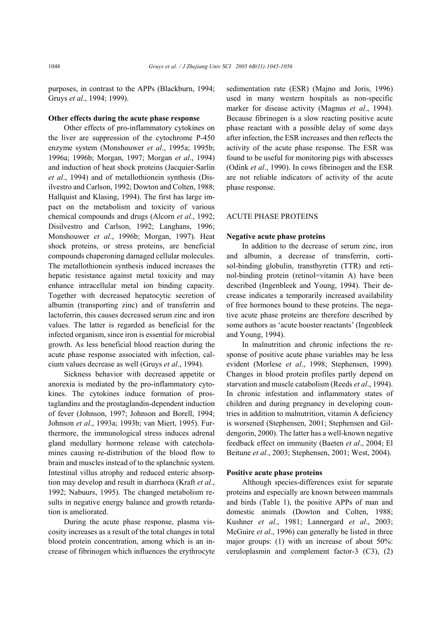purposes, in contrast to the APPs (Blackburn, 1994; Gruys *et al*., 1994; 1999).

#### **Other effects during the acute phase response**

Other effects of pro-inflammatory cytokines on the liver are suppression of the cytochrome P-450 enzyme system (Monshouwer *et al*., 1995a; 1995b; 1996a; 1996b; Morgan, 1997; Morgan *et al*., 1994) and induction of heat shock proteins (Jacquier-Sarlin *et al*., 1994) and of metallothionein synthesis (Disilvestro and Carlson, 1992; Dowton and Colten, 1988; Hallquist and Klasing, 1994). The first has large impact on the metabolism and toxicity of various chemical compounds and drugs (Alcorn *et al*., 1992; Disilvestro and Carlson, 1992; Langhans, 1996; Monshouwer *et al*., 1996b; Morgan, 1997). Heat shock proteins, or stress proteins, are beneficial compounds chaperoning damaged cellular molecules. The metallothionein synthesis induced increases the hepatic resistance against metal toxicity and may enhance intracellular metal ion binding capacity. Together with decreased hepatocytic secretion of albumin (transporting zinc) and of transferrin and lactoferrin, this causes decreased serum zinc and iron values. The latter is regarded as beneficial for the infected organism, since iron is essential for microbial growth. As less beneficial blood reaction during the acute phase response associated with infection, calcium values decrease as well (Gruys *et al*., 1994).

Sickness behavior with decreased appetite or anorexia is mediated by the pro-inflammatory cytokines. The cytokines induce formation of prostaglandins and the prostaglandin-dependent induction of fever (Johnson, 1997; Johnson and Borell, 1994; Johnson *et al*., 1993a; 1993b; van Miert, 1995). Furthermore, the immunological stress induces adrenal gland medullary hormone release with catecholamines causing re-distribution of the blood flow to brain and muscles instead of to the splanchnic system. Intestinal villus atrophy and reduced enteric absorption may develop and result in diarrhoea (Kraft *et al*., 1992; Nabuurs, 1995). The changed metabolism results in negative energy balance and growth retardation is ameliorated.

During the acute phase response, plasma viscosity increases as a result of the total changes in total blood protein concentration, among which is an increase of fibrinogen which influences the erythrocyte sedimentation rate (ESR) (Majno and Joris, 1996) used in many western hospitals as non-specific marker for disease activity (Magnus *et al*., 1994). Because fibrinogen is a slow reacting positive acute phase reactant with a possible delay of some days after infection, the ESR increases and then reflects the activity of the acute phase response. The ESR was found to be useful for monitoring pigs with abscesses (Odink *et al*., 1990). In cows fibrinogen and the ESR are not reliable indicators of activity of the acute phase response.

# ACUTE PHASE PROTEINS

#### **Negative acute phase proteins**

In addition to the decrease of serum zinc, iron and albumin, a decrease of transferrin, cortisol-binding globulin, transthyretin (TTR) and retinol-binding protein (retinol=vitamin A) have been described (Ingenbleek and Young, 1994). Their decrease indicates a temporarily increased availability of free hormones bound to these proteins. The negative acute phase proteins are therefore described by some authors as 'acute booster reactants' (Ingenbleek and Young, 1994).

In malnutrition and chronic infections the response of positive acute phase variables may be less evident (Morlese *et al*., 1998; Stephensen, 1999). Changes in blood protein profiles partly depend on starvation and muscle catabolism (Reeds *et al*., 1994). In chronic infestation and inflammatory states of children and during pregnancy in developing countries in addition to malnutrition, vitamin A deficiency is worsened (Stephensen, 2001; Stephensen and Gildengorin, 2000). The latter has a well-known negative feedback effect on immunity (Baeten *et al*., 2004; El Beitune *et al*., 2003; Stephensen, 2001; West, 2004).

### **Positive acute phase proteins**

Although species-differences exist for separate proteins and especially are known between mammals and birds (Table 1), the positive APPs of man and domestic animals (Dowton and Colten, 1988; Kushner *et al*., 1981; Lannergard *et al*., 2003; McGuire *et al*., 1996) can generally be listed in three major groups: (1) with an increase of about 50%: ceruloplasmin and complement factor-3 (C3), (2)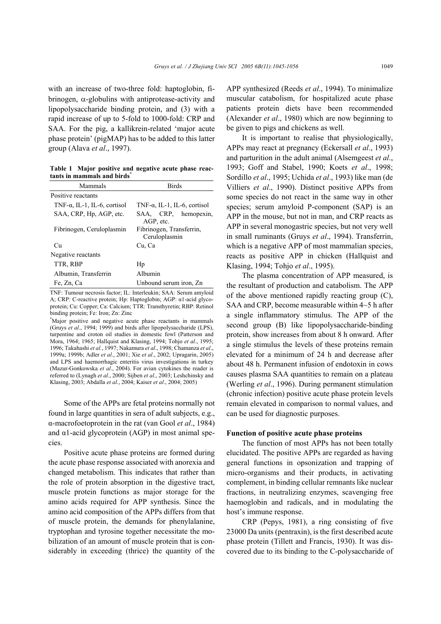with an increase of two-three fold: haptoglobin, fibrinogen,  $\alpha$ -globulins with antiprotease-activity and lipopolysaccharide binding protein, and (3) with a rapid increase of up to 5-fold to 1000-fold: CRP and SAA. For the pig, a kallikrein-related 'major acute phase protein' (pigMAP) has to be added to this latter group (Alava *et al*., 1997).

**Table 1 Major positive and negative acute phase reactants in mammals and birds\***

| Mammals                              | <b>Birds</b>                              |
|--------------------------------------|-------------------------------------------|
| Positive reactants                   |                                           |
| TNF- $\alpha$ , IL-1, IL-6, cortisol | TNF- $\alpha$ , IL-1, IL-6, cortisol      |
| SAA, CRP, Hp, AGP, etc.              | SAA, CRP, hemopexin,<br>AGP, etc.         |
| Fibrinogen, Ceruloplasmin            | Fibrinogen, Transferrin,<br>Ceruloplasmin |
| Сu                                   | Cu. Ca                                    |
| Negative reactants                   |                                           |
| TTR, RBP                             | Hp                                        |
| Albumin, Transferrin                 | Albumin                                   |
| Fe, Zn, Ca                           | Unbound serum iron, Zn                    |

TNF: Tumour necrosis factor; IL: Interleukin; SAA: Serum amyloid A; CRP: C-reactive protein; Hp: Haptoglobin; AGP: α1-acid glycoprotein; Cu: Copper; Ca: Calcium; TTR: Transthyretin; RBP: Retinol binding protein; Fe: Iron; Zn: Zinc

\* Major positive and negative acute phase reactants in mammals (Gruys *et al*., 1994; 1999) and birds after lipopolysaccharide (LPS), turpentine and croton oil studies in domestic fowl (Patterson and Mora, 1964; 1965; Hallquist and Klasing, 1994; Tohjo *et al*., 1995; 1996; Takahashi *et al.*, 1997; Nakamura *et al*., 1998; Chamanza *et al*., 1999a; 1999b; Adler *et al*., 2001; Xie *et al*., 2002; Upragarin, 2005) and LPS and haemorrhagic enteritis virus investigations in turkey (Mazur-Gonkowska *et al*., 2004). For avian cytokines the reader is referred to (Lynagh *et al*., 2000; Sijben *et al*., 2003; Leshchinsky and Klasing, 2003; Abdalla *et al*., 2004; Kaiser *et al*., 2004; 2005)

Some of the APPs are fetal proteins normally not found in large quantities in sera of adult subjects, e.g., α-macrofoetoprotein in the rat (van Gool *et al*., 1984) and  $\alpha$ 1-acid glycoprotein (AGP) in most animal species.

Positive acute phase proteins are formed during the acute phase response associated with anorexia and changed metabolism. This indicates that rather than the role of protein absorption in the digestive tract, muscle protein functions as major storage for the amino acids required for APP synthesis. Since the amino acid composition of the APPs differs from that of muscle protein, the demands for phenylalanine, tryptophan and tyrosine together necessitate the mobilization of an amount of muscle protein that is considerably in exceeding (thrice) the quantity of the

APP synthesized (Reeds *et al*., 1994). To minimalize muscular catabolism, for hospitalized acute phase patients protein diets have been recommended (Alexander *et al*., 1980) which are now beginning to be given to pigs and chickens as well.

It is important to realise that physiologically, APPs may react at pregnancy (Eckersall *et al*., 1993) and parturition in the adult animal (Alsemgeest *et al*., 1993; Goff and Stabel, 1990; Koets *et al*., 1998; Sordillo *et al*., 1995; Uchida *et al*., 1993) like man (de Villiers *et al*., 1990). Distinct positive APPs from some species do not react in the same way in other species; serum amyloid P-component (SAP) is an APP in the mouse, but not in man, and CRP reacts as APP in several monogastric species, but not very well in small ruminants (Gruys *et al*., 1994). Transferrin, which is a negative APP of most mammalian species, reacts as positive APP in chicken (Hallquist and Klasing, 1994; Tohjo *et al*., 1995).

The plasma concentration of APP measured, is the resultant of production and catabolism. The APP of the above mentioned rapidly reacting group (C), SAA and CRP, become measurable within 4~5 h after a single inflammatory stimulus. The APP of the second group (B) like lipopolysaccharide-binding protein, show increases from about 8 h onward. After a single stimulus the levels of these proteins remain elevated for a minimum of 24 h and decrease after about 48 h. Permanent infusion of endotoxin in cows causes plasma SAA quantities to remain on a plateau (Werling *et al*., 1996). During permanent stimulation (chronic infection) positive acute phase protein levels remain elevated in comparison to normal values, and can be used for diagnostic purposes.

# **Function of positive acute phase proteins**

The function of most APPs has not been totally elucidated. The positive APPs are regarded as having general functions in opsonization and trapping of micro-organisms and their products, in activating complement, in binding cellular remnants like nuclear fractions, in neutralizing enzymes, scavenging free haemoglobin and radicals, and in modulating the host's immune response.

CRP (Pepys, 1981), a ring consisting of five 23000 Da units (pentraxin), is the first described acute phase protein (Tillett and Francis, 1930). It was discovered due to its binding to the C-polysaccharide of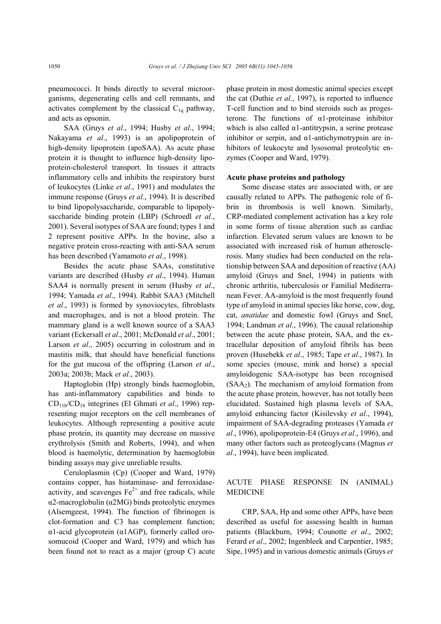pneumococci. It binds directly to several microorganisms, degenerating cells and cell remnants, and activates complement by the classical  $C_{1q}$  pathway, and acts as opsonin.

SAA (Gruys *et al*., 1994; Husby *et al*., 1994; Nakayama *et al*., 1993) is an apolipoprotein of high-density lipoprotein (apoSAA). As acute phase protein it is thought to influence high-density lipoprotein-cholesterol transport. In tissues it attracts inflammatory cells and inhibits the respiratory burst of leukocytes (Linke *et al*., 1991) and modulates the immune response (Gruys *et al*., 1994). It is described to bind lipopolysaccharide, comparable to lipopolysaccharide binding protein (LBP) (Schroedl *et al*., 2001). Several isotypes of SAA are found; types 1 and 2 represent positive APPs. In the bovine, also a negative protein cross-reacting with anti-SAA serum has been described (Yamamoto *et al*., 1998).

Besides the acute phase SAAs, constitutive variants are described (Husby *et al*., 1994). Human SAA4 is normally present in serum (Husby *et al*., 1994; Yamada *et al*., 1994). Rabbit SAA3 (Mitchell *et al*., 1993) is formed by synoviocytes, fibroblasts and macrophages, and is not a blood protein. The mammary gland is a well known source of a SAA3 variant (Eckersall *et al*., 2001; McDonald *et al*., 2001; Larson *et al*., 2005) occurring in colostrum and in mastitis milk, that should have beneficial functions for the gut mucosa of the offspring (Larson *et al*., 2003a; 2003b; Mack *et al*., 2003).

Haptoglobin (Hp) strongly binds haemoglobin, has anti-inflammatory capabilities and binds to CD11b/CD18 integrines (El Ghmati *et al*., 1996) representing major receptors on the cell membranes of leukocytes. Although representing a positive acute phase protein, its quantity may decrease on massive erythrolysis (Smith and Roberts, 1994), and when blood is haemolytic, determination by haemoglobin binding assays may give unreliable results.

Ceruloplasmin (Cp) (Cooper and Ward, 1979) contains copper, has histaminase- and ferroxidaseactivity, and scavenges  $Fe^{2+}$  and free radicals, while α2-macroglobulin (α2MG) binds proteolytic enzymes (Alsemgeest, 1994). The function of fibrinogen is clot-formation and C3 has complement function; α1-acid glycoprotein (α1AGP), formerly called orosomucoid (Cooper and Ward, 1979) and which has been found not to react as a major (group C) acute phase protein in most domestic animal species except the cat (Duthie *et al*., 1997), is reported to influence T-cell function and to bind steroids such as progesterone. The functions of  $\alpha$ 1-proteinase inhibitor which is also called  $\alpha$ 1-antitrypsin, a serine protease inhibitor or serpin, and  $\alpha$ 1-antichymotrypsin are inhibitors of leukocyte and lysosomal proteolytic enzymes (Cooper and Ward, 1979).

# **Acute phase proteins and pathology**

Some disease states are associated with, or are causally related to APPs. The pathogenic role of fibrin in thrombosis is well known. Similarly, CRP-mediated complement activation has a key role in some forms of tissue alteration such as cardiac infarction. Elevated serum values are known to be associated with increased risk of human atherosclerosis. Many studies had been conducted on the relationship between SAA and deposition of reactive (AA) amyloid (Gruys and Snel, 1994) in patients with chronic arthritis, tuberculosis or Familial Mediterranean Fever. AA-amyloid is the most frequently found type of amyloid in animal species like horse, cow, dog, cat, *anatidae* and domestic fowl (Gruys and Snel, 1994; Landman *et al.*, 1996). The causal relationship between the acute phase protein, SAA, and the extracellular deposition of amyloid fibrils has been proven (Husebekk *et al*., 1985; Tape *et al*., 1987). In some species (mouse, mink and horse) a special amyloidogenic SAA-isotype has been recognised  $(SAA<sub>2</sub>)$ . The mechanism of amyloid formation from the acute phase protein, however, has not totally been elucidated. Sustained high plasma levels of SAA, amyloid enhancing factor (Kisilevsky *et al*., 1994), impairment of SAA-degrading proteases (Yamada *et al*., 1996), apolipoprotein-E4 (Gruys *et al*., 1996), and many other factors such as proteoglycans (Magnus *et al*., 1994), have been implicated.

# ACUTE PHASE RESPONSE IN (ANIMAL) MEDICINE

CRP, SAA, Hp and some other APPs, have been described as useful for assessing health in human patients (Blackburn, 1994; Counotte *et al*., 2002; Ferard *et al*., 2002; Ingenbleek and Carpentier, 1985; Sipe, 1995) and in various domestic animals (Gruys *et*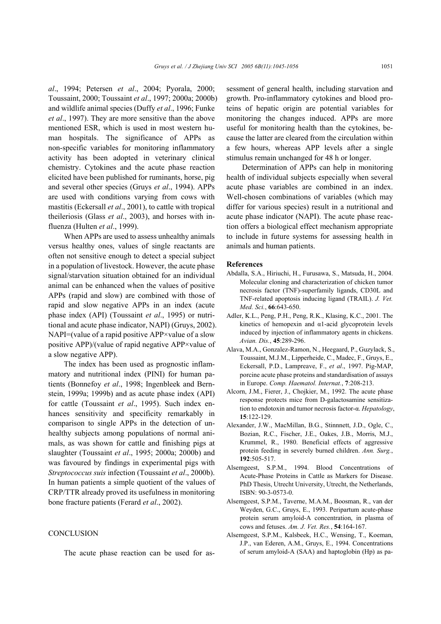*al*., 1994; Petersen *et al*., 2004; Pyorala, 2000; Toussaint, 2000; Toussaint *et al*., 1997; 2000a; 2000b) and wildlife animal species (Duffy *et al*., 1996; Funke *et al*., 1997). They are more sensitive than the above mentioned ESR, which is used in most western human hospitals. The significance of APPs as non-specific variables for monitoring inflammatory activity has been adopted in veterinary clinical chemistry. Cytokines and the acute phase reaction elicited have been published for ruminants, horse, pig and several other species (Gruys *et al*., 1994). APPs are used with conditions varying from cows with mastitis (Eckersall *et al*., 2001), to cattle with tropical theileriosis (Glass *et al*., 2003), and horses with influenza (Hulten *et al*., 1999).

When APPs are used to assess unhealthy animals versus healthy ones, values of single reactants are often not sensitive enough to detect a special subject in a population of livestock. However, the acute phase signal/starvation situation obtained for an individual animal can be enhanced when the values of positive APPs (rapid and slow) are combined with those of rapid and slow negative APPs in an index (acute phase index (API) (Toussaint *et al*., 1995) or nutritional and acute phase indicator, NAPI) (Gruys, 2002). NAPI=(value of a rapid positive APP $\times$ value of a slow positive APP)/(value of rapid negative APP×value of a slow negative APP).

The index has been used as prognostic inflammatory and nutritional index (PINI) for human patients (Bonnefoy *et al*., 1998; Ingenbleek and Bernstein, 1999a; 1999b) and as acute phase index (API) for cattle (Toussaint *et al*., 1995). Such index enhances sensitivity and specificity remarkably in comparison to single APPs in the detection of unhealthy subjects among populations of normal animals, as was shown for cattle and finishing pigs at slaughter (Toussaint *et al*., 1995; 2000a; 2000b) and was favoured by findings in experimental pigs with *Streptococcus suis* infection (Toussaint *et al*., 2000b). In human patients a simple quotient of the values of CRP/TTR already proved its usefulness in monitoring bone fracture patients (Ferard *et al*., 2002).

### **CONCLUSION**

The acute phase reaction can be used for as-

sessment of general health, including starvation and growth. Pro-inflammatory cytokines and blood proteins of hepatic origin are potential variables for monitoring the changes induced. APPs are more useful for monitoring health than the cytokines, because the latter are cleared from the circulation within a few hours, whereas APP levels after a single stimulus remain unchanged for 48 h or longer.

Determination of APPs can help in monitoring health of individual subjects especially when several acute phase variables are combined in an index. Well-chosen combinations of variables (which may differ for various species) result in a nutritional and acute phase indicator (NAPI). The acute phase reaction offers a biological effect mechanism appropriate to include in future systems for assessing health in animals and human patients.

#### **References**

- Abdalla, S.A., Hiriuchi, H., Furusawa, S., Matsuda, H., 2004. Molecular cloning and characterization of chicken tumor necrosis factor (TNF)-superfamily ligands, CD30L and TNF-related apoptosis inducing ligand (TRAIL). *J. Vet. Med. Sci.*, **66**:643-650.
- Adler, K.L., Peng, P.H., Peng, R.K., Klasing, K.C., 2001. The kinetics of hemopexin and  $\alpha$ 1-acid glycoprotein levels induced by injection of inflammatory agents in chickens. *Avian. Dis.*, **45**:289-296.
- Alava, M.A., Gonzalez-Ramon, N., Heegaard, P., Guzylack, S., Toussaint, M.J.M., Lipperheide, C., Madec, F., Gruys, E., Eckersall, P.D., Lampreave, F., *et al*., 1997. Pig-MAP, porcine acute phase proteins and standardisation of assays in Europe. *Comp. Haematol. Internat.*, **7**:208-213.
- Alcorn, J.M., Fierer, J., Chojkier, M., 1992. The acute phase response protects mice from D-galactosamine sensitization to endotoxin and tumor necrosis factor-α. *Hepatology*, **15**:122-129.
- Alexander, J.W., MacMillan, B.G., Stinnnett, J.D., Ogle, C., Bozian, R.C., Fischer, J.E., Oakes, J.B., Morris, M.J., Krummel, R., 1980. Beneficial effects of aggressive protein feeding in severely burned children. *Ann. Surg.*, **192**:505-517.
- Alsemgeest, S.P.M., 1994. Blood Concentrations of Acute-Phase Proteins in Cattle as Markers for Disease. PhD Thesis, Utrecht University, Utrecht, the Netherlands, ISBN: 90-3-0573-0.
- Alsemgeest, S.P.M., Taverne, M.A.M., Boosman, R., van der Weyden, G.C., Gruys, E., 1993. Peripartum acute-phase protein serum amyloid-A concentration, in plasma of cows and fetuses. *Am. J. Vet. Res.*, **54**:164-167.
- Alsemgeest, S.P.M., Kalsbeek, H.C., Wensing, T., Koeman, J.P., van Ederen, A.M., Gruys, E., 1994. Concentrations of serum amyloid-A (SAA) and haptoglobin (Hp) as pa-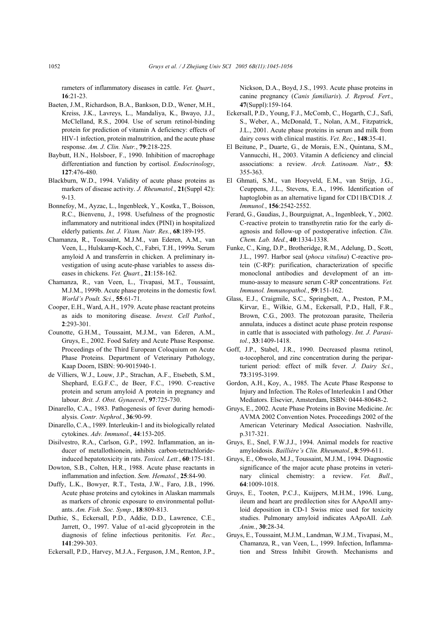rameters of inflammatory diseases in cattle. *Vet. Quart.*, **16**:21-23.

- Baeten, J.M., Richardson, B.A., Bankson, D.D., Wener, M.H., Kreiss, J.K., Lavreys, L., Mandaliya, K., Bwayo, J.J., McClelland, R.S., 2004. Use of serum retinol-binding protein for prediction of vitamin A deficiency: effects of HIV-1 infection, protein malnutrition, and the acute phase response. *Am. J. Clin. Nutr.*, **79**:218-225.
- Baybutt, H.N., Holsboer, F., 1990. Inhibition of macrophage differentiation and function by cortisol. *Endocrinology*, **127**:476-480.
- Blackburn, W.D., 1994. Validity of acute phase proteins as markers of disease activity. *J. Rheumatol.*, **21**(Suppl 42): 9-13.
- Bonnefoy, M., Ayzac, L., Ingenbleek, Y., Kostka, T., Boisson, R.C., Bienvenu, J., 1998. Usefulness of the prognostic inflammatory and nutritional index (PINI) in hospitalized elderly patients. *Int. J. Vitam. Nutr. Res.*, **68**:189-195.
- Chamanza, R., Toussaint, M.J.M., van Ederen, A.M., van Veen, L., Hulskamp-Koch, C., Fabri, T.H., 1999a. Serum amyloid A and transferrin in chicken. A preliminary investigation of using acute-phase variables to assess diseases in chickens. *Vet. Quart.*, **21**:158-162.
- Chamanza, R., van Veen, L., Tivapasi, M.T., Toussaint, M.J.M., 1999b. Acute phase proteins in the domestic fowl. *World's Poult. Sci.*, **55**:61-71.
- Cooper, E.H., Ward, A.H., 1979. Acute phase reactant proteins as aids to monitoring disease. *Invest. Cell Pathol.*, **2**:293-301.
- Counotte, G.H.M., Toussaint, M.J.M., van Ederen, A.M., Gruys, E., 2002. Food Safety and Acute Phase Response. Proceedings of the Third European Coloquium on Acute Phase Proteins. Department of Veterinary Pathology, Kaap Doorn, ISBN: 90-9015940-1.
- de Villiers, W.J., Louw, J.P., Strachan, A.F., Etsebeth, S.M., Shephard, E.G.F.C., de Beer, F.C., 1990. C-reactive protein and serum amyloid A protein in pregnancy and labour. *Brit. J. Obst. Gynaecol.*, **97**:725-730.
- Dinarello, C.A., 1983. Pathogenesis of fever during hemodialysis. *Contr. Nephrol.*, **36**:90-99.
- Dinarello, C.A., 1989. Interleukin-1 and its biologically related cytokines. *Adv. Immunol.*, **44**:153-205.
- Disilvestro, R.A., Carlson, G.P., 1992. Inflammation, an inducer of metallothionein, inhibits carbon-tetrachlorideinduced hepatotoxicity in rats. *Toxicol. Lett.*, **60**:175-181.
- Dowton, S.B., Colten, H.R., 1988. Acute phase reactants in inflammation and infection. *Sem. Hematol.*, **25**:84-90.
- Duffy, L.K., Bowyer, R.T., Testa, J.W., Faro, J.B., 1996. Acute phase proteins and cytokines in Alaskan mammals as markers of chronic exposure to environmental pollutants. *Am. Fish. Soc. Symp.*, **18**:809-813.
- Duthie, S., Eckersall, P.D., Addie, D.D., Lawrence, C.E., Jarrett, O., 1997. Value of α1-acid glycoprotein in the diagnosis of feline infectious peritonitis. *Vet. Rec.*, **141**:299-303.
- Eckersall, P.D., Harvey, M.J.A., Ferguson, J.M., Renton, J.P.,

Nickson, D.A., Boyd, J.S., 1993. Acute phase proteins in canine pregnancy (*Canis familiaris*). *J. Reprod. Fert.*, **47**(Suppl):159-164.

- Eckersall, P.D., Young, F.J., McComb, C., Hogarth, C.J., Safi, S., Weber, A., McDonald, T., Nolan, A.M., Fitzpatrick, J.L., 2001. Acute phase proteins in serum and milk from dairy cows with clinical mastitis. *Vet. Rec.*, **148**:35-41.
- El Beitune, P., Duarte, G., de Morais, E.N., Quintana, S.M., Vannucchi, H., 2003. Vitamin A deficiency and clincial associations: a review. *Arch. Latinoam. Nutr.*, **53**: 355-363.
- El Ghmati, S.M., van Hoeyveld, E.M., van Strijp, J.G., Ceuppens, J.L., Stevens, E.A., 1996. Identification of haptoglobin as an alternative ligand for CD11B/CD18. *J. Immunol.*, **156**:2542-2552.
- Ferard, G., Gaudias, J., Bourguignat, A., Ingenbleek, Y., 2002. C-reactive protein to transthyretin ratio for the early diagnosis and follow-up of postoperative infection. *Clin. Chem. Lab. Med.*, **40**:1334-1338.
- Funke, C., King, D.P., Brotheridge, R.M., Adelung, D., Scott, J.L., 1997. Harbor seal (*phoca vitulina*) C-reactive protein (C-RP): purification, characterization of specific monoclonal antibodies and development of an immuno-assay to measure serum C-RP concentrations. *Vet. Immunol. Immunopathol.*, **59**:151-162.
- Glass, E.J., Craigmile, S.C., Springbett, A., Preston, P.M., Kirvar, E., Wilkie, G.M., Eckersall, P.D., Hall, F.R., Brown, C.G., 2003. The protozoan parasite, Theileria annulata, induces a distinct acute phase protein response in cattle that is associated with pathology. *Int. J. Parasitol.*, **33**:1409-1418.
- Goff, J.P., Stabel, J.R., 1990. Decreased plasma retinol, α-tocopherol, and zinc concentration during the periparturient period: effect of milk fever. *J. Dairy Sci.*, **73**:3195-3199.
- Gordon, A.H., Koy, A., 1985. The Acute Phase Response to Injury and Infection. The Roles of Interleukin 1 and Other Mediators. Elsevier, Amsterdam, ISBN: 0444-80648-2.
- Gruys, E., 2002. Acute Phase Proteins in Bovine Medicine. *In*: AVMA 2002 Convention Notes. Proceedings 2002 of the American Veterinary Medical Association. Nashville, p.317-321.
- Gruys, E., Snel, F.W.J.J., 1994. Animal models for reactive amyloidosis. *Baillière's Clin. Rheumatol.*, **8**:599-611.
- Gruys, E., Obwolo, M.J., Toussaint, M.J.M., 1994. Diagnostic significance of the major acute phase proteins in veterinary clinical chemistry: a review. *Vet. Bull.*, **64**:1009-1018.
- Gruys, E., Tooten, P.C.J., Kuijpers, M.H.M., 1996. Lung, ileum and heart are predilection sites for AApoAII amyloid deposition in CD-1 Swiss mice used for toxicity studies. Pulmonary amyloid indicates AApoAII. *Lab. Anim.*, **30**:28-34.
- Gruys, E., Toussaint, M.J.M., Landman, W.J.M., Tivapasi, M., Chamanza, R., van Veen, L., 1999. Infection, Inflammation and Stress Inhibit Growth. Mechanisms and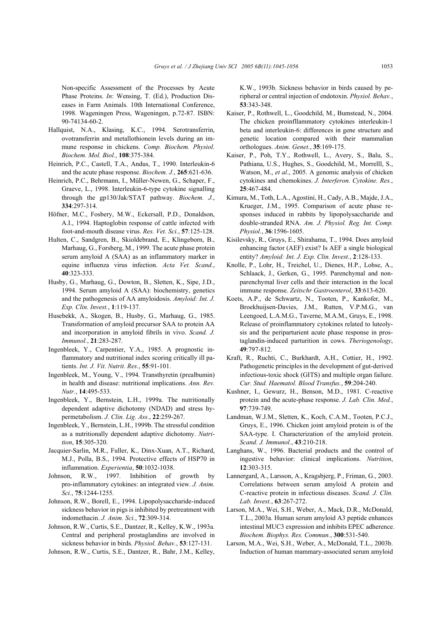Non-specific Assessment of the Processes by Acute Phase Proteins. *In*: Wensing, T. (Ed.), Production Diseases in Farm Animals. 10th International Conference, 1998. Wageningen Press, Wageningen, p.72-87. ISBN: 90-74134-60-2.

- Hallquist, N.A., Klasing, K.C., 1994. Serotransferrin, ovotransferrin and metallothionein levels during an immune response in chickens. *Comp. Biochem. Physiol. Biochem. Mol. Biol.*, **108**:375-384.
- Heinrich, P.C., Castell, T.A., Andus, T., 1990. Interleukin-6 and the acute phase response. *Biochem. J.*, **265**:621-636.
- Heinrich, P.C., Behrmann, I., Müller-Newen, G., Schaper, F., Graeve, L., 1998. Interleukin-6-type cytokine signalling through the gp130/Jak/STAT pathway. *Biochem. J.*, **334**:297-314.
- Höfner, M.C., Fosbery, M.W., Eckersall, P.D., Donaldson, A.I., 1994. Haptoglobin response of cattle infected with foot-and-mouth disease virus. *Res. Vet. Sci.*, **57**:125-128.
- Hulten, C., Sandgren, B., Skioldebrand, E., Klingeborn, B., Marhaug, G., Forsberg, M., 1999. The acute phase protein serum amyloid A (SAA) as an inflammatory marker in equine influenza virus infection. *Acta Vet. Scand.*, **40**:323-333.
- Husby, G., Marhaug, G., Dowton, B., Sletten, K., Sipe, J.D., 1994. Serum amyloid A (SAA): biochemistry, genetics and the pathogenesis of AA amyloidosis. *Amyloid: Int. J. Exp. Clin. Invest.*, **1**:119-137.
- Husebekk, A., Skogen, B., Husby, G., Marhaug, G., 1985. Transformation of amyloid precursor SAA to protein AA and incorporation in amyloid fibrils in vivo. *Scand. J. Immunol.*, **21**:283-287.
- Ingenbleek, Y., Carpentier, Y.A., 1985. A prognostic inflammatory and nutritional index scoring critically ill patients. *Int. J. Vit. Nutrit. Res.*, **55**:91-101.
- Ingenbleek, M., Young, V., 1994. Transthyretin (prealbumin) in health and disease: nutritional implications. *Ann. Rev. Nutr.*, **14**:495-533.
- Ingenbleek, Y., Bernstein, L.H., 1999a. The nutritionally dependent adaptive dichotomy (NDAD) and stress hypermetabolism. *J. Clin. Lig. Ass.*, **22**:259-267.
- Ingenbleek, Y., Bernstein, L.H., 1999b. The stressful condition as a nutritionally dependent adaptive dichotomy. *Nutrition*, **15**:305-320.
- Jacquier-Sarlin, M.R., Fuller, K., Dinx-Xuan, A.T., Richard, M.J., Polla, B.S., 1994. Protective effects of HSP70 in inflammation. *Experientia*, **50**:1032-1038.
- Johnson, R.W., 1997. Inhibition of growth by pro-inflammatory cytokines: an integrated view. *J. Anim. Sci.*, **75**:1244-1255.
- Johnson, R.W., Borell, E., 1994. Lipopolysaccharide-induced sickness behavior in pigs is inhibited by pretreatment with indomethacin. *J. Anim. Sci.*, **72**:309-314.
- Johnson, R.W., Curtis, S.E., Dantzer, R., Kelley, K.W., 1993a. Central and peripheral prostaglandins are involved in sickness behavior in birds. *Physiol. Behav.*, **53**:127-131.
- Johnson, R.W., Curtis, S.E., Dantzer, R., Bahr, J.M., Kelley,

K.W., 1993b. Sickness behavior in birds caused by peripheral or central injection of endotoxin. *Physiol. Behav.*, **53**:343-348.

- Kaiser, P., Rothwell, L., Goodchild, M., Bumstead, N., 2004. The chicken proinfllammatory cytokines interleukin-1 beta and interleukin-6: differences in gene structure and genetic location compared with their mammalian orthologues. *Anim. Genet.*, **35**:169-175.
- Kaiser, P., Poh, T.Y., Rothwell, L., Avery, S., Balu, S., Pathiana, U.S., Hughes, S., Goodchild, M., Morrelll, S., Watson, M., *et al*., 2005. A genomic analysis of chicken cytokines and chemokines. *J. Interferon. Cytokine. Res.*, **25**:467-484.
- Kimura, M., Toth, L.A., Agostini, H., Cady, A.B., Majde, J.A., Krueger, J.M., 1995. Comparison of acute phase responses induced in rabbits by lipopolysaccharide and double-stranded RNA. *Am. J. Physiol. Reg. Int. Comp. Physiol.*, **36**:1596-1605.
- Kisilevsky, R., Gruys, E., Shirahama, T., 1994. Does amyloid enhancing factor (AEF) exist? Is AEF a single biological entity? *Amyloid: Int. J. Exp. Clin. Invest.*, **2**:128-133.
- Knolle, P., Lohr, H., Treichel, U., Dienes, H.P., Lohse, A., Schlaack, J., Gerken, G., 1995. Parenchymal and nonparenchymal liver cells and their interaction in the local immune response. *Zeitschr Gastroenterol*, **33**:613-620.
- Koets, A.P., de Schwartz, N., Tooten, P., Kankofer, M., Broekhuijsen-Davies, J.M., Rutten, V.P.M.G., van Leengoed, L.A.M.G., Taverne, M.A.M., Gruys, E., 1998. Release of proinflammatory cytokines related to luteolysis and the periparturient acute phase response in prostaglandin-induced parturition in cows. *Theriogenology*, **49**:797-812.
- Kraft, R., Ruchti, C., Burkhardt, A.H., Cottier, H., 1992. Pathogenetic principles in the development of gut-derived infectious-toxic shock (GITS) and multiple organ failure. *Cur. Stud. Haematol. Blood Transfus.*, **59**:204-240.
- Kushner, I., Gewurz, H., Benson, M.D., 1981. C-reactive protein and the acute-phase response. *J. Lab. Clin. Med.*, **97**:739-749.
- Landman, W.J.M., Sletten, K., Koch, C.A.M., Tooten, P.C.J., Gruys, E., 1996. Chicken joint amyloid protein is of the SAA-type. I. Characterization of the amyloid protein. *Scand. J. Immunol.*, **43**:210-218.
- Langhans, W., 1996. Bacterial products and the control of ingestive behavior: clinical implications. *Nutrition*, **12**:303-315.
- Lannergard, A., Larsson, A., Kragsbjerg, P., Friman, G., 2003. Correlations between serum amyloid A protein and C-reactive protein in infectious diseases. *Scand. J. Clin. Lab. Invest.*, **63**:267-272.
- Larson, M.A., Wei, S.H., Weber, A., Mack, D.R., McDonald, T.L., 2003a. Human serum amyloid A3 peptide enhances intestinal MUC3 expression and inhibits EPEC adherence. *Biochem. Biophys. Res. Commun.*, **300**:531-540.
- Larson, M.A., Wei, S.H., Weber, A., McDonald, T.L., 2003b. Induction of human mammary-associated serum amyloid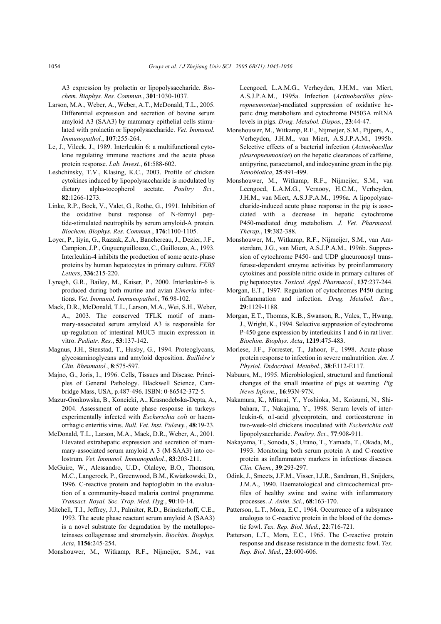A3 expression by prolactin or lipopolysaccharide. *Biochem. Biophys. Res. Commun.*, **301**:1030-1037.

- Larson, M.A., Weber, A., Weber, A.T., McDonald, T.L., 2005. Differential expression and secretion of bovine serum amyloid A3 (SAA3) by mammary epithelial cells stimulated with prolactin or lipopolysaccharide. *Vet. Immunol. Immunopathol.*, **107**:255-264.
- Le, J., Vilcek, J., 1989. Interleukin 6: a multifunctional cytokine regulating immune reactions and the acute phase protein response. *Lab. Invest.*, **61**:588-602.
- Leshchinsky, T.V., Klasing, K.C., 2003. Profile of chicken cytokines induced by lipopolysaccharide is modulated by dietary alpha-tocopherol acetate. *Poultry Sci.*, **82**:1266-1273.
- Linke, R.P., Bock, V., Valet, G., Rothe, G., 1991. Inhibition of the oxidative burst response of N-formyl peptide-stimulated neutrophils by serum amyloid-A protein. *Biochem. Biophys. Res. Commun.*, **176**:1100-1105.
- Loyer, P., Iiyin, G., Razzak, Z.A., Banchereau, J., Dezier, J.F., Campion, J.P., Guguenguillouzo, C., Guillouzo, A., 1993. Interleukin-4 inhibits the production of some acute-phase proteins by human hepatocytes in primary culture. *FEBS Letters*, **336**:215-220.
- Lynagh, G.R., Bailey, M., Kaiser, P., 2000. Interleukin-6 is produced during both murine and avian *Eimeria* infections. *Vet. Immunol. Immunopathol.*, **76**:98-102.
- Mack, D.R., McDonald, T.L., Larson, M.A., Wei, S.H., Weber, A., 2003. The conserved TFLK motif of mammary-associated serum amyloid A3 is responsible for up-regulation of intestinal MUC3 mucin expression in vitro. *Pediatr. Res.*, **53**:137-142.
- Magnus, J.H., Stenstad, T., Husby, G., 1994. Proteoglycans, glycosaminoglycans and amyloid deposition. *Baillière's Clin. Rheumatol.*, **8**:575-597.
- Majno, G., Joris, I., 1996. Cells, Tissues and Disease. Principles of General Pathology. Blackwell Science, Cambridge Mass, USA, p.487-496. ISBN: 0-86542-372-5.
- Mazur-Gonkowska, B., Koncicki, A., Krasnodebska-Depta, A., 2004. Assessment of acute phase response in turkeys experimentally infected with *Escherichia coli* or haemorrhagic enteritis virus. *Bull. Vet. Inst. Pulawy.*, **48**:19-23.
- McDonald, T.L., Larson, M.A., Mack, D.R., Weber, A., 2001. Elevated extrahepatic expression and secretion of mammary-associated serum amyloid A 3 (M-SAA3) into colostrum. *Vet. Immunol. Immunopathol.*, **83**:203-211.
- McGuire, W., Alessandro, U.D., Olaleye, B.O., Thomson, M.C., Langerock, P., Greenwood, B.M., Kwiatkowski, D., 1996. C-reactive protein and haptoglobin in the evaluation of a community-based malaria control programme. *Transact. Royal. Soc. Trop. Med. Hyg.*, **90**:10-14.
- Mitchell, T.I., Jeffrey, J.J., Palmiter, R.D., Brinckerhoff, C.E., 1993. The acute phase reactant serum amyloid A (SAA3) is a novel substrate for degradation by the metalloproteinases collagenase and stromelysin. *Biochim. Biophys. Acta*, **1156**:245-254.
- Monshouwer, M., Witkamp, R.F., Nijmeijer, S.M., van

Leengoed, L.A.M.G., Verheyden, J.H.M., van Miert, A.S.J.P.A.M., 1995a. Infection (*Actinobacillus pleuropneumoniae*)-mediated suppression of oxidative hepatic drug metabolism and cytochrome P4503A mRNA levels in pigs. *Drug. Metabol. Dispos.*, **23**:44-47.

- Monshouwer, M., Witkamp, R.F., Nijmeijer, S.M., Pijpers, A., Verheyden, J.H.M., van Miert, A.S.J.P.A.M., 1995b. Selective effects of a bacterial infection (*Actinobacillus pleuropneumoniae*) on the hepatic clearances of caffeine, antipyrine, paracetamol, and indocyanine green in the pig. *Xenobiotica*, **25**:491-499.
- Monshouwer, M., Witkamp, R.F., Nijmeijer, S.M., van Leengoed, L.A.M.G., Vernooy, H.C.M., Verheyden, J.H.M., van Miert, A.S.J.P.A.M., 1996a. A lipopolysaccharide-induced acute phase response in the pig is associated with a decrease in hepatic cytochrome P450-mediated drug metabolism. *J. Vet. Pharmacol. Therap.*, **19**:382-388.
- Monshouwer, M., Witkamp, R.F., Nijmeijer, S.M., van Amsterdam, J.G., van Miert, A.S.J.P.A.M., 1996b. Suppression of cytochrome P450- and UDP glucuronosyl transferase-dependent enzyme activities by proinflammatory cytokines and possible nitric oxide in primary cultures of pig hepatocytes. *Toxicol. Appl. Pharmacol.*, **137**:237-244.
- Morgan, E.T., 1997. Regulation of cytochromes P450 during inflammation and infection. *Drug. Metabol. Rev.*, **29**:1129-1188.
- Morgan, E.T., Thomas, K.B., Swanson, R., Vales, T., Hwang, J., Wright, K., 1994. Selective suppression of cytochrome P-450 gene expression by interleukins 1 and 6 in rat liver. *Biochim. Biophys. Acta*, **1219**:475-483.
- Morlese, J.F., Forrester, T., Jahoor, F., 1998. Acute-phase protein response to infection in severe malnutrition. *Am. J. Physiol. Endocrinol. Metabol.*, **38**:E112-E117.
- Nabuurs, M., 1995. Microbiological, structural and functional changes of the small intestine of pigs at weaning. *Pig News Inform.*, **16**:93N-97N.
- Nakamura, K., Mitarai, Y., Yoshioka, M., Koizumi, N., Shibahara, T., Nakajima, Y., 1998. Serum levels of interleukin-6, α1-acid glycoprotein, and corticosterone in two-week-old chickens inoculated with *Escherichia coli* lipopolysaccharide. *Poultry. Sci.*, **77**:908-911.
- Nakayama, T., Sonoda, S., Urano, T., Yamada, T., Okada, M., 1993. Monitoring both serum protein A and C-reactive protein as inflammatory markers in infectious diseases. *Clin. Chem.*, **39**:293-297.
- Odink, J., Smeets, J.F.M., Visser, I.J.R., Sandman, H., Snijders, J.M.A., 1990. Haematological and clinicochemical profiles of healthy swine and swine with inflammatory processes. *J. Anim. Sci.*, **68**:163-170.
- Patterson, L.T., Mora, E.C., 1964. Occurrence of a subsyance analogus to C-reactive protein in the blood of the domestic fowl. *Tex. Rep. Biol. Med.*, **22**:716-721.
- Patterson, L.T., Mora, E.C., 1965. The C-reactive protein response and disease resistance in the domestic fowl. *Tex. Rep. Biol. Med.*, **23**:600-606.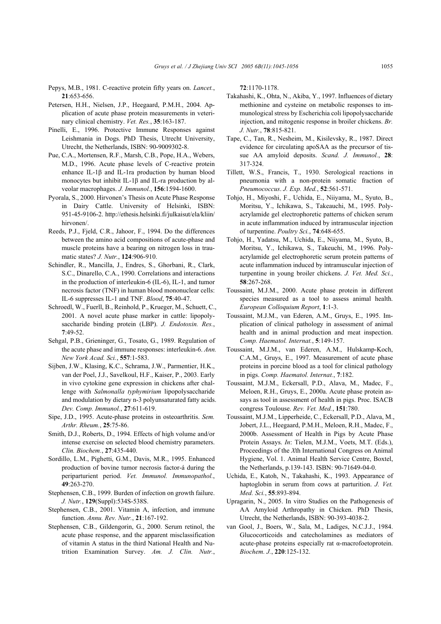- Pepys, M.B., 1981. C-reactive protein fifty years on. *Lancet.*, **21**:653-656.
- Petersen, H.H., Nielsen, J.P., Heegaard, P.M.H., 2004. Application of acute phase protein measurements in veterinary clinical chemistry. *Vet. Res.*, **35**:163-187.
- Pinelli, E., 1996. Protective Immune Responses against Leishmania in Dogs. PhD Thesis, Utrecht University, Utrecht, the Netherlands, ISBN: 90-9009302-8.
- Pue, C.A., Mortensen, R.F., Marsh, C.B., Pope, H.A., Webers, M.D., 1996. Acute phase levels of C-reactive protein enhance IL-1β and IL-1ra production by human blood monocytes but inhibit IL-1β and IL-ra production by alveolar macrophages. *J. Immunol.*, **156**:1594-1600.
- Pyorala, S., 2000. Hirvonen's Thesis on Acute Phase Response in Dairy Cattle. University of Helsinki, ISBN: 951-45-9106-2. http://ethesis.helsinki.fi/julkaisut/ela/kliin/ hirvonen/.
- Reeds, P.J., Fjeld, C.R., Jahoor, F., 1994. Do the differences between the amino acid compositions of acute-phase and muscle proteins have a bearing on nitrogen loss in traumatic states? *J. Nutr.*, **124**:906-910.
- Schindler, R., Mancilla, J., Endres, S., Ghorbani, R., Clark, S.C., Dinarello, C.A., 1990. Correlations and interactions in the production of interleukin-6 (IL-6), IL-1, and tumor necrosis factor (TNF) in human blood mononuclear cells: IL-6 suppresses IL-1 and TNF. *Blood*, **75**:40-47.
- Schroedl, W., Fuerll, B., Reinhold, P., Krueger, M., Schuett, C., 2001. A novel acute phase marker in cattle: lipopolysaccharide binding protein (LBP). *J. Endotoxin. Res.*, **7**:49-52.
- Sehgal, P.B., Grieninger, G., Tosato, G., 1989. Regulation of the acute phase and immune responses: interleukin-6. *Ann. New York Acad. Sci.*, **557**:1-583.
- Sijben, J.W., Klasing, K.C., Schrama, J.W., Parmentier, H.K., van der Poel, J.J., Savelkoul, H.F., Kaiser, P., 2003. Early in vivo cytokine gene expression in chickens after challenge with *Salmonalla typhymirium* lipopolysaccharide and modulation by dietary n-3 polyunsaturated fatty acids. *Dev. Comp. Immunol.*, **27**:611-619.
- Sipe, J.D., 1995. Acute-phase proteins in osteoarthritis. *Sem. Arthr. Rheum.*, **25**:75-86.
- Smith, D.J., Roberts, D., 1994. Effects of high volume and/or intense exercise on selected blood chemistry parameters. *Clin. Biochem.*, **27**:435-440.
- Sordillo, L.M., Pighetti, G.M., Davis, M.R., 1995. Enhanced production of bovine tumor necrosis factor-á during the periparturient period. *Vet. Immunol. Immunopathol.*, **49**:263-270.
- Stephensen, C.B., 1999. Burden of infection on growth failure. *J. Nutr.*, **129**(Suppl):534S-538S.
- Stephensen, C.B., 2001. Vitamin A, infection, and immune function. *Annu. Rev. Nutr.*, **21**:167-192.
- Stephensen, C.B., Gildengorin, G., 2000. Serum retinol, the acute phase response, and the apparent misclassification of vitamin A status in the third National Health and Nutrition Examination Survey. *Am. J. Clin. Nutr.*,

**72**:1170-1178.

- Takahashi, K., Ohta, N., Akiba, Y., 1997. Influences of dietary methionine and cysteine on metabolic responses to immunological stress by Escherichia coli lipopolysaccharide injection, and mitogenic response in broiler chickens. *Br. J. Nutr.*, **78**:815-821.
- Tape, C., Tan, R., Nesheim, M., Kisilevsky, R., 1987. Direct evidence for circulating apoSAA as the precursor of tissue AA amyloid deposits. *Scand. J. Immunol.*, **28**: 317-324.
- Tillett, W.S., Francis, T., 1930. Serological reactions in pneumonia with a non-protein somatic fraction of *Pneumococcus*. *J. Exp. Med.*, **52**:561-571.
- Tohjo, H., Miyoshi, F., Uchida, E., Niiyama, M., Syuto, B., Moritsu, Y., Ichikawa, S., Takeauchi, M., 1995. Polyacrylamide gel electrophoretic patterns of chicken serum in acute inflammation induced by intramuscular injection of turpentine. *Poultry Sci.*, **74**:648-655.
- Tohjo, H., Yadatsu, M., Uchida, E., Niiyama, M., Syuto, B., Moritsu, Y., Ichikawa, S., Takeuchi, M., 1996. Polyacrylamide gel electrophoretic serum protein patterns of acute inflammation induced by intramuscular injection of turpentine in young broiler chickens. *J. Vet. Med. Sci.*, **58**:267-268.
- Toussaint, M.J.M., 2000. Acute phase protein in different species measured as a tool to assess animal health. *European Colloquium Report*, **1**:1-3.
- Toussaint, M.J.M., van Ederen, A.M., Gruys, E., 1995. Implication of clinical pathology in assessment of animal health and in animal production and meat inspection. *Comp. Haematol. Internat.*, **5**:149-157.
- Toussaint, M.J.M., van Ederen, A.M., Hulskamp-Koch, C.A.M., Gruys, E., 1997. Measurement of acute phase proteins in porcine blood as a tool for clinical pathology in pigs. *Comp. Haematol. Internat.*, **7**:182.
- Toussaint, M.J.M., Eckersall, P.D., Alava, M., Madec, F., Meloen, R.H., Gruys, E., 2000a. Acute phase protein assays as tool in assessment of health in pigs. Proc. ISACB congress Toulouse. *Rev. Vet. Med.*, **151**:780.
- Toussaint, M.J.M., Lipperheide, C., Eckersall, P.D., Alava, M., Jobert, J.L., Heegaard, P.M.H., Meloen, R.H., Madec, F., 2000b. Assessment of Health in Pigs by Acute Phase Protein Assays. *In*: Tielen, M.J.M., Voets, M.T. (Eds.), Proceedings of the *X*th International Congress on Animal Hygiene, Vol. 1. Animal Health Service Centre, Boxtel, the Netherlands, p.139-143. ISBN: 90-71649-04-0.
- Uchida, E., Katoh, N., Takahashi, K., 1993. Appearance of haptoglobin in serum from cows at parturition. *J. Vet. Med. Sci.*, **55**:893-894.
- Upragarin, N., 2005. In vitro Studies on the Pathogenesis of AA Amyloid Arthropathy in Chicken. PhD Thesis, Utrecht, the Netherlands, ISBN: 90-393-4038-2.
- van Gool, J., Boers, W., Sala, M., Ladiges, N.C.J.J., 1984. Glucocorticoids and catecholamines as mediators of acute-phase proteins especially rat α-macrofoetoprotein. *Biochem. J.*, **220**:125-132.